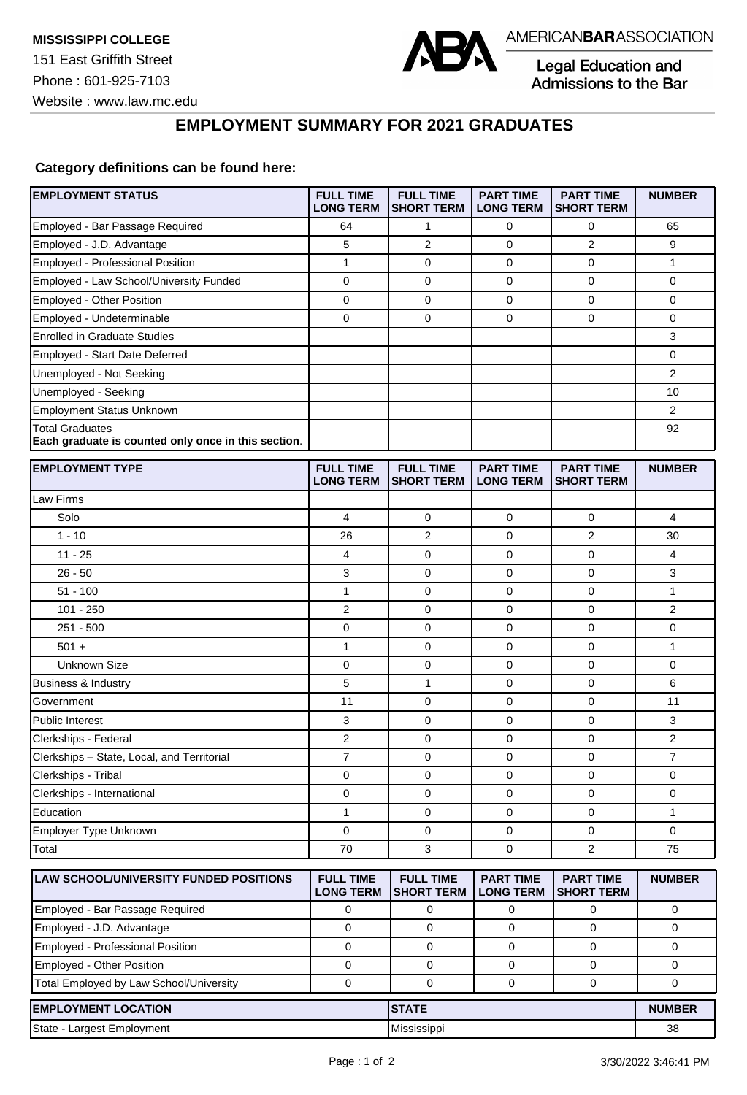

Legal Education and<br>Admissions to the Bar

## **EMPLOYMENT SUMMARY FOR 2021 GRADUATES**

## **Category definitions can be found [here:](https://www.americanbar.org/content/dam/aba/administrative/legal_education_and_admissions_to_the_bar/Questionnaires/2021/2022-employment-protocols-for-the-class-of-2021-september-2021.pdf)**

| <b>EMPLOYMENT STATUS</b>                                                      | <b>FULL TIME</b><br><b>LONG TERM</b> | <b>FULL TIME</b><br><b>SHORT TERM</b> | <b>PART TIME</b><br><b>LONG TERM</b> | <b>PART TIME</b><br><b>SHORT TERM</b> | <b>NUMBER</b>  |
|-------------------------------------------------------------------------------|--------------------------------------|---------------------------------------|--------------------------------------|---------------------------------------|----------------|
| Employed - Bar Passage Required                                               | 64                                   | 1                                     | 0                                    | 0                                     | 65             |
| Employed - J.D. Advantage                                                     | 5                                    | $\overline{2}$                        | 0                                    | $\overline{2}$                        | 9              |
| <b>Employed - Professional Position</b>                                       | 1                                    | $\mathbf 0$                           | 0                                    | $\mathbf 0$                           | 1              |
| Employed - Law School/University Funded                                       | 0                                    | $\mathbf 0$                           | 0                                    | $\mathbf 0$                           | 0              |
| Employed - Other Position                                                     | $\pmb{0}$                            | 0                                     | $\mathbf 0$                          | $\pmb{0}$                             | 0              |
| Employed - Undeterminable                                                     | $\mathbf 0$                          | 0                                     | 0                                    | $\mathbf 0$                           | 0              |
| <b>Enrolled in Graduate Studies</b>                                           |                                      |                                       |                                      |                                       | 3              |
| Employed - Start Date Deferred                                                |                                      |                                       |                                      |                                       | 0              |
| Unemployed - Not Seeking                                                      |                                      |                                       |                                      |                                       | $\overline{2}$ |
| Unemployed - Seeking                                                          |                                      |                                       |                                      |                                       | 10             |
| Employment Status Unknown                                                     |                                      |                                       |                                      |                                       | 2              |
| <b>Total Graduates</b><br>Each graduate is counted only once in this section. |                                      |                                       |                                      |                                       | 92             |
| <b>EMPLOYMENT TYPE</b>                                                        | <b>FULL TIME</b><br><b>LONG TERM</b> | <b>FULL TIME</b><br><b>SHORT TERM</b> | <b>PART TIME</b><br><b>LONG TERM</b> | <b>PART TIME</b><br><b>SHORT TERM</b> | <b>NUMBER</b>  |
| Law Firms                                                                     |                                      |                                       |                                      |                                       |                |
| Solo                                                                          | 4                                    | 0                                     | 0                                    | 0                                     | 4              |
| $1 - 10$                                                                      | 26                                   | $\overline{2}$                        | 0                                    | 2                                     | 30             |
| $11 - 25$                                                                     | 4                                    | 0                                     | 0                                    | 0                                     | 4              |
| $26 - 50$                                                                     | 3                                    | 0                                     | 0                                    | $\mathbf 0$                           | 3              |
| $51 - 100$                                                                    | $\mathbf{1}$                         | 0                                     | 0                                    | $\mathbf 0$                           | 1              |
| $101 - 250$                                                                   | $\overline{2}$                       | 0                                     | 0                                    | $\mathbf 0$                           | $\overline{2}$ |
| $251 - 500$                                                                   | 0                                    | $\mathbf 0$                           | 0                                    | $\mathbf 0$                           | 0              |
| $501 +$                                                                       | $\mathbf{1}$                         | 0                                     | 0                                    | $\mathbf 0$                           | 1              |
| <b>Unknown Size</b>                                                           | $\mathbf 0$                          | 0                                     | $\mathbf 0$                          | 0                                     | 0              |
| <b>Business &amp; Industry</b>                                                | 5                                    | 1                                     | 0                                    | $\mathbf 0$                           | 6              |
| Government                                                                    | 11                                   | $\mathbf 0$                           | 0                                    | $\mathbf 0$                           | 11             |
| Public Interest                                                               | 3                                    | 0                                     | 0                                    | $\mathbf 0$                           | 3              |
| Clerkships - Federal                                                          | $\overline{2}$                       | 0                                     | 0                                    | 0                                     | $\overline{2}$ |
| Clerkships - State, Local, and Territorial                                    | $\boldsymbol{7}$                     | 0                                     | 0                                    | 0                                     | $\overline{7}$ |
| Clerkships - Tribal                                                           | 0                                    | 0                                     | 0                                    | $\mathbf 0$                           | 0              |
| Clerkships - International                                                    | 0                                    | 0                                     | 0                                    | $\mathbf 0$                           | 0              |
| Education                                                                     | 1                                    | 0                                     | 0                                    | $\pmb{0}$                             | 1              |
| Employer Type Unknown                                                         | $\mathbf 0$                          | $\mathbf 0$                           | $\mathbf 0$                          | $\mathbf 0$                           | 0              |
| Total                                                                         | 70                                   | 3                                     | 0                                    | $\overline{c}$                        | 75             |
| LAW SCHOOL/UNIVERSITY FUNDED POSITIONS                                        | <b>FULL TIME</b><br><b>LONG TERM</b> | <b>FULL TIME</b><br><b>SHORT TERM</b> | <b>PART TIME</b><br><b>LONG TERM</b> | <b>PART TIME</b><br><b>SHORT TERM</b> | <b>NUMBER</b>  |
| Employed - Bar Passage Required                                               | 0                                    | 0                                     | 0                                    | 0                                     | 0              |
| Employed - J.D. Advantage                                                     | $\mathbf 0$                          | 0                                     | 0                                    | 0                                     | 0              |
| Employed - Professional Position                                              | $\mathbf 0$                          | 0                                     | 0                                    | $\mathbf 0$                           | 0              |
| Employed - Other Position                                                     | 0                                    | 0                                     | 0                                    | 0                                     | 0              |
| Total Employed by Law School/University                                       | $\mathbf 0$                          | 0                                     | 0                                    | 0                                     | 0              |
| <b>EMPLOYMENT LOCATION</b>                                                    |                                      | <b>STATE</b>                          |                                      |                                       | <b>NUMBER</b>  |
| State - Largest Employment                                                    |                                      | Mississippi                           |                                      |                                       | 38             |
|                                                                               |                                      |                                       |                                      |                                       |                |